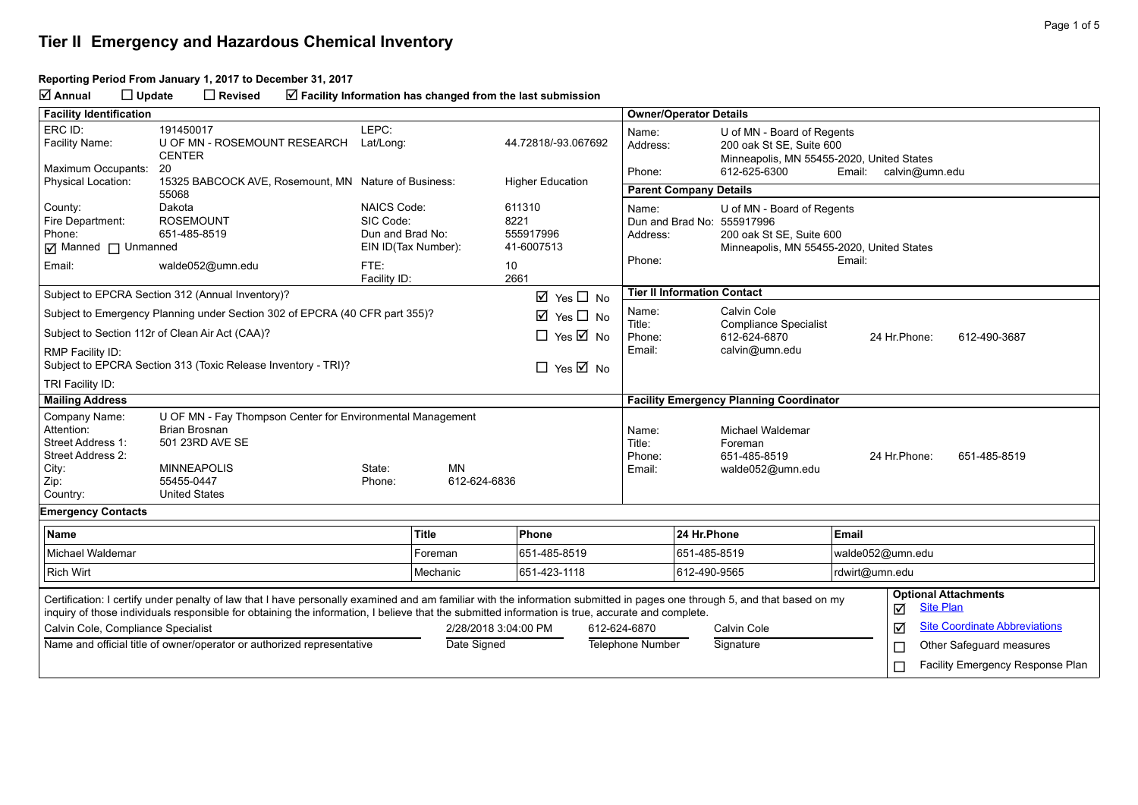#### **Reporting Period From January 1, 2017 to December 31, 2017**

**Annual Update Revised Facility Information has changed from the last submission**

| <b>Facility Identification</b>                                                                                                                                                                                                                                                                                                |                                                                                                                                                                   |                                                                                                    |                                      |                                                         |             | <b>Owner/Operator Details</b>                                                                                                                                              |                                                              |                                                                                                     |                                      |                                                 |                                  |
|-------------------------------------------------------------------------------------------------------------------------------------------------------------------------------------------------------------------------------------------------------------------------------------------------------------------------------|-------------------------------------------------------------------------------------------------------------------------------------------------------------------|----------------------------------------------------------------------------------------------------|--------------------------------------|---------------------------------------------------------|-------------|----------------------------------------------------------------------------------------------------------------------------------------------------------------------------|--------------------------------------------------------------|-----------------------------------------------------------------------------------------------------|--------------------------------------|-------------------------------------------------|----------------------------------|
| ERC ID:<br>Facility Name:                                                                                                                                                                                                                                                                                                     | 191450017<br>U OF MN - ROSEMOUNT RESEARCH<br><b>CENTER</b>                                                                                                        | LEPC:<br>Lat/Long:                                                                                 |                                      | 44.72818/-93.067692                                     |             | Name:<br>Address:                                                                                                                                                          |                                                              | U of MN - Board of Regents<br>200 oak St SE, Suite 600<br>Minneapolis, MN 55455-2020, United States |                                      |                                                 |                                  |
| Maximum Occupants:                                                                                                                                                                                                                                                                                                            | 20                                                                                                                                                                |                                                                                                    |                                      |                                                         |             | Phone:                                                                                                                                                                     |                                                              | 612-625-6300                                                                                        | Email:                               | calvin@umn.edu                                  |                                  |
| Physical Location:                                                                                                                                                                                                                                                                                                            | 15325 BABCOCK AVE, Rosemount, MN Nature of Business:<br>55068                                                                                                     |                                                                                                    |                                      | <b>Higher Education</b>                                 |             | <b>Parent Company Details</b>                                                                                                                                              |                                                              |                                                                                                     |                                      |                                                 |                                  |
| County:<br>Fire Department:<br>Phone:<br>Manned I Unmanned<br>Email:                                                                                                                                                                                                                                                          | Dakota<br><b>ROSEMOUNT</b><br>651-485-8519<br>walde052@umn.edu                                                                                                    | <b>NAICS Code:</b><br>SIC Code:<br>Dun and Brad No:<br>EIN ID(Tax Number):<br>FTE:<br>Facility ID: |                                      | 611310<br>8221<br>555917996<br>41-6007513<br>10<br>2661 |             | U of MN - Board of Regents<br>Name:<br>Dun and Brad No: 555917996<br>200 oak St SE, Suite 600<br>Address:<br>Minneapolis, MN 55455-2020, United States<br>Phone:<br>Email: |                                                              |                                                                                                     |                                      |                                                 |                                  |
|                                                                                                                                                                                                                                                                                                                               | Subject to EPCRA Section 312 (Annual Inventory)?                                                                                                                  |                                                                                                    |                                      | $\boxtimes$ Yes $\square$ No                            |             |                                                                                                                                                                            |                                                              | <b>Tier II Information Contact</b>                                                                  |                                      |                                                 |                                  |
|                                                                                                                                                                                                                                                                                                                               | Subject to Emergency Planning under Section 302 of EPCRA (40 CFR part 355)?                                                                                       |                                                                                                    |                                      | ☑<br>Yes $\Box$ No                                      |             | Name:                                                                                                                                                                      |                                                              | Calvin Cole                                                                                         |                                      |                                                 |                                  |
|                                                                                                                                                                                                                                                                                                                               | Subject to Section 112r of Clean Air Act (CAA)?                                                                                                                   |                                                                                                    |                                      | $\Box$ Yes $\overline{\boxtimes}$ No                    |             | Title:<br>Phone:                                                                                                                                                           | <b>Compliance Specialist</b><br>612-624-6870<br>24 Hr.Phone: |                                                                                                     |                                      |                                                 | 612-490-3687                     |
| RMP Facility ID:                                                                                                                                                                                                                                                                                                              | Subject to EPCRA Section 313 (Toxic Release Inventory - TRI)?                                                                                                     |                                                                                                    |                                      | $\Box$ Yes $\boxtimes$ No                               |             | Email:                                                                                                                                                                     |                                                              | calvin@umn.edu                                                                                      |                                      |                                                 |                                  |
| TRI Facility ID:                                                                                                                                                                                                                                                                                                              |                                                                                                                                                                   |                                                                                                    |                                      |                                                         |             |                                                                                                                                                                            |                                                              |                                                                                                     |                                      |                                                 |                                  |
| <b>Mailing Address</b>                                                                                                                                                                                                                                                                                                        |                                                                                                                                                                   |                                                                                                    |                                      |                                                         |             |                                                                                                                                                                            |                                                              | <b>Facility Emergency Planning Coordinator</b>                                                      |                                      |                                                 |                                  |
| Company Name:<br>Attention:<br>Street Address 1:<br>Street Address 2:<br>City:<br>Zip:<br>Country:                                                                                                                                                                                                                            | U OF MN - Fay Thompson Center for Environmental Management<br><b>Brian Brosnan</b><br>501 23RD AVE SE<br><b>MINNEAPOLIS</b><br>55455-0447<br><b>United States</b> | State:<br>Phone:                                                                                   | <b>MN</b><br>612-624-6836            |                                                         |             | Name:<br>Title:<br>Phone:<br>Email:                                                                                                                                        |                                                              | Michael Waldemar<br>Foreman<br>651-485-8519<br>walde052@umn.edu                                     |                                      | 24 Hr. Phone:                                   | 651-485-8519                     |
| <b>Emergency Contacts</b>                                                                                                                                                                                                                                                                                                     |                                                                                                                                                                   |                                                                                                    |                                      |                                                         |             |                                                                                                                                                                            |                                                              |                                                                                                     |                                      |                                                 |                                  |
| <b>Name</b>                                                                                                                                                                                                                                                                                                                   |                                                                                                                                                                   |                                                                                                    | <b>Title</b>                         | Phone                                                   |             |                                                                                                                                                                            | 24 Hr.Phone                                                  |                                                                                                     | Email                                |                                                 |                                  |
| <b>Michael Waldemar</b>                                                                                                                                                                                                                                                                                                       |                                                                                                                                                                   |                                                                                                    | Foreman                              | 651-485-8519                                            |             |                                                                                                                                                                            | 651-485-8519                                                 |                                                                                                     | walde052@umn.edu                     |                                                 |                                  |
| <b>Rich Wirt</b>                                                                                                                                                                                                                                                                                                              |                                                                                                                                                                   |                                                                                                    | Mechanic                             | 651-423-1118                                            |             |                                                                                                                                                                            | 612-490-9565                                                 |                                                                                                     | rdwirt@umn.edu                       |                                                 |                                  |
| Certification: I certify under penalty of law that I have personally examined and am familiar with the information submitted in pages one through 5, and that based on my<br>inquiry of those individuals responsible for obtaining the information, I believe that the submitted information is true, accurate and complete. |                                                                                                                                                                   |                                                                                                    |                                      |                                                         |             |                                                                                                                                                                            |                                                              |                                                                                                     | ☑                                    | <b>Optional Attachments</b><br><b>Site Plan</b> |                                  |
| Calvin Cole, Compliance Specialist                                                                                                                                                                                                                                                                                            |                                                                                                                                                                   |                                                                                                    | 2/28/2018 3:04:00 PM<br>612-624-6870 |                                                         | Calvin Cole |                                                                                                                                                                            |                                                              | ☑                                                                                                   | <b>Site Coordinate Abbreviations</b> |                                                 |                                  |
| Name and official title of owner/operator or authorized representative                                                                                                                                                                                                                                                        |                                                                                                                                                                   | Date Signed                                                                                        |                                      | <b>Telephone Number</b>                                 |             |                                                                                                                                                                            | Signature                                                    |                                                                                                     | Other Safeguard measures<br>$\Box$   |                                                 |                                  |
|                                                                                                                                                                                                                                                                                                                               |                                                                                                                                                                   |                                                                                                    |                                      |                                                         |             |                                                                                                                                                                            |                                                              |                                                                                                     |                                      | $\Box$                                          | Facility Emergency Response Plan |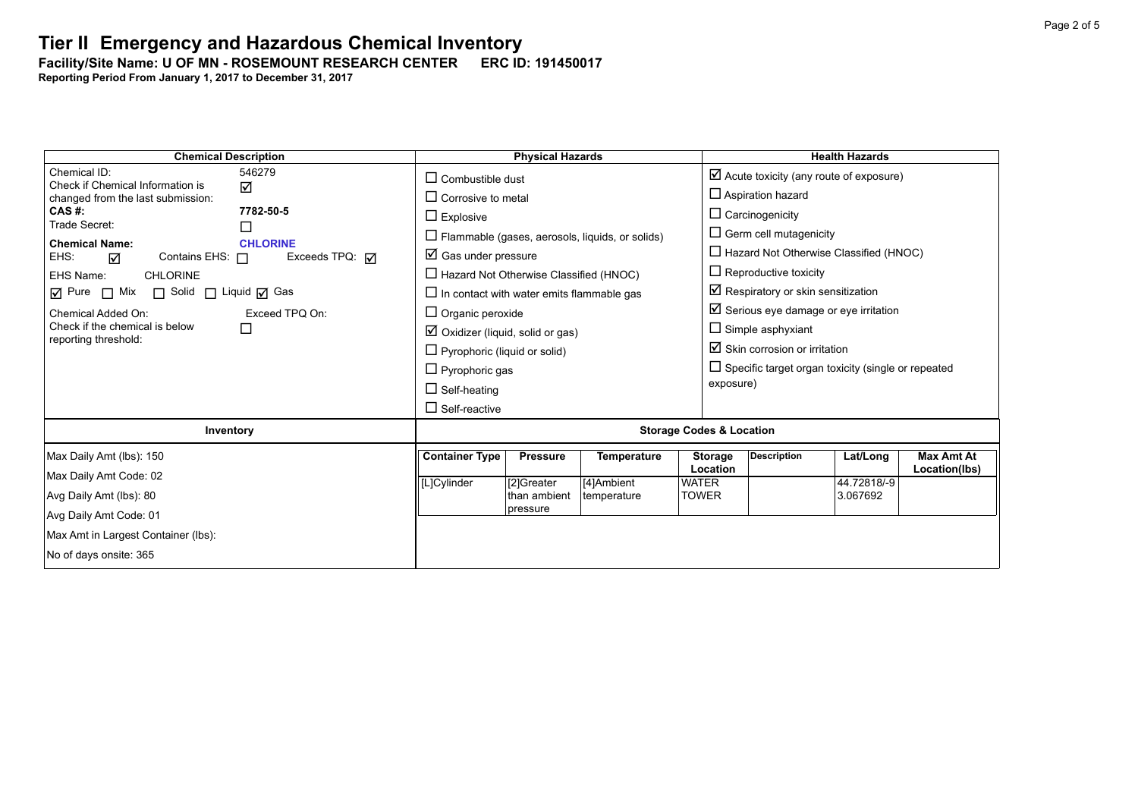Facility/Site Name: U OF MN - ROSEMOUNT RESEARCH CENTER **------------------------**

| <b>Chemical Description</b>                                      |  |                                                        | <b>Physical Hazards</b> |             |                          | <b>Health Hazards</b>                                     |             |                   |  |  |
|------------------------------------------------------------------|--|--------------------------------------------------------|-------------------------|-------------|--------------------------|-----------------------------------------------------------|-------------|-------------------|--|--|
| Chemical ID:<br>546279<br>Check if Chemical Information is       |  | $\Box$ Combustible dust                                |                         |             |                          | $\boxtimes$ Acute toxicity (any route of exposure)        |             |                   |  |  |
| ☑<br>changed from the last submission:                           |  | $\Box$ Corrosive to metal                              |                         |             |                          | $\Box$ Aspiration hazard                                  |             |                   |  |  |
| 7782-50-5<br>CAS #:<br>Trade Secret:                             |  | $\Box$ Explosive                                       |                         |             |                          | $\Box$ Carcinogenicity                                    |             |                   |  |  |
| $\Box$<br><b>Chemical Name:</b><br><b>CHLORINE</b>               |  | $\Box$ Flammable (gases, aerosols, liquids, or solids) |                         |             |                          | $\Box$ Germ cell mutagenicity                             |             |                   |  |  |
| Exceeds TPQ: $\overline{M}$<br>EHS:<br>Contains EHS: $\Box$<br>☑ |  | $\boxtimes$ Gas under pressure                         |                         |             |                          | $\Box$ Hazard Not Otherwise Classified (HNOC)             |             |                   |  |  |
| EHS Name:<br><b>CHLORINE</b>                                     |  | $\Box$ Hazard Not Otherwise Classified (HNOC)          |                         |             |                          | $\Box$ Reproductive toxicity                              |             |                   |  |  |
| $\Box$ Pure $\Box$ Mix $\Box$ Solid $\Box$ Liquid $\Box$ Gas     |  | $\Box$ In contact with water emits flammable gas       |                         |             |                          | $\boxtimes$ Respiratory or skin sensitization             |             |                   |  |  |
| Exceed TPQ On:<br>Chemical Added On:                             |  | $\Box$ Organic peroxide                                |                         |             |                          | $\boxtimes$ Serious eye damage or eye irritation          |             |                   |  |  |
| Check if the chemical is below<br>□<br>reporting threshold:      |  | $\boxtimes$ Oxidizer (liquid, solid or gas)            |                         |             |                          | $\Box$ Simple asphyxiant                                  |             |                   |  |  |
|                                                                  |  | $\Box$ Pyrophoric (liquid or solid)                    |                         |             |                          | $\boxtimes$ Skin corrosion or irritation                  |             |                   |  |  |
|                                                                  |  | $\Box$ Pyrophoric gas                                  |                         |             |                          | $\Box$ Specific target organ toxicity (single or repeated |             |                   |  |  |
|                                                                  |  | $\Box$ Self-heating                                    |                         |             | exposure)                |                                                           |             |                   |  |  |
|                                                                  |  | $\Box$ Self-reactive                                   |                         |             |                          |                                                           |             |                   |  |  |
| Inventory                                                        |  | <b>Storage Codes &amp; Location</b>                    |                         |             |                          |                                                           |             |                   |  |  |
| Max Daily Amt (lbs): 150                                         |  | <b>Container Type</b>                                  | <b>Pressure</b>         | Temperature | <b>Storage</b>           | <b>Description</b>                                        | Lat/Long    | <b>Max Amt At</b> |  |  |
| Max Daily Amt Code: 02                                           |  | [L]Cylinder                                            | [2]Greater              | [4]Ambient  | Location<br><b>WATER</b> |                                                           | 44.72818/-9 | Location(lbs)     |  |  |
| Avg Daily Amt (lbs): 80                                          |  |                                                        | than ambient            | temperature | <b>TOWER</b>             |                                                           | 3.067692    |                   |  |  |
| Avg Daily Amt Code: 01                                           |  |                                                        | pressure                |             |                          |                                                           |             |                   |  |  |
| Max Amt in Largest Container (lbs):                              |  |                                                        |                         |             |                          |                                                           |             |                   |  |  |
| No of days onsite: 365                                           |  |                                                        |                         |             |                          |                                                           |             |                   |  |  |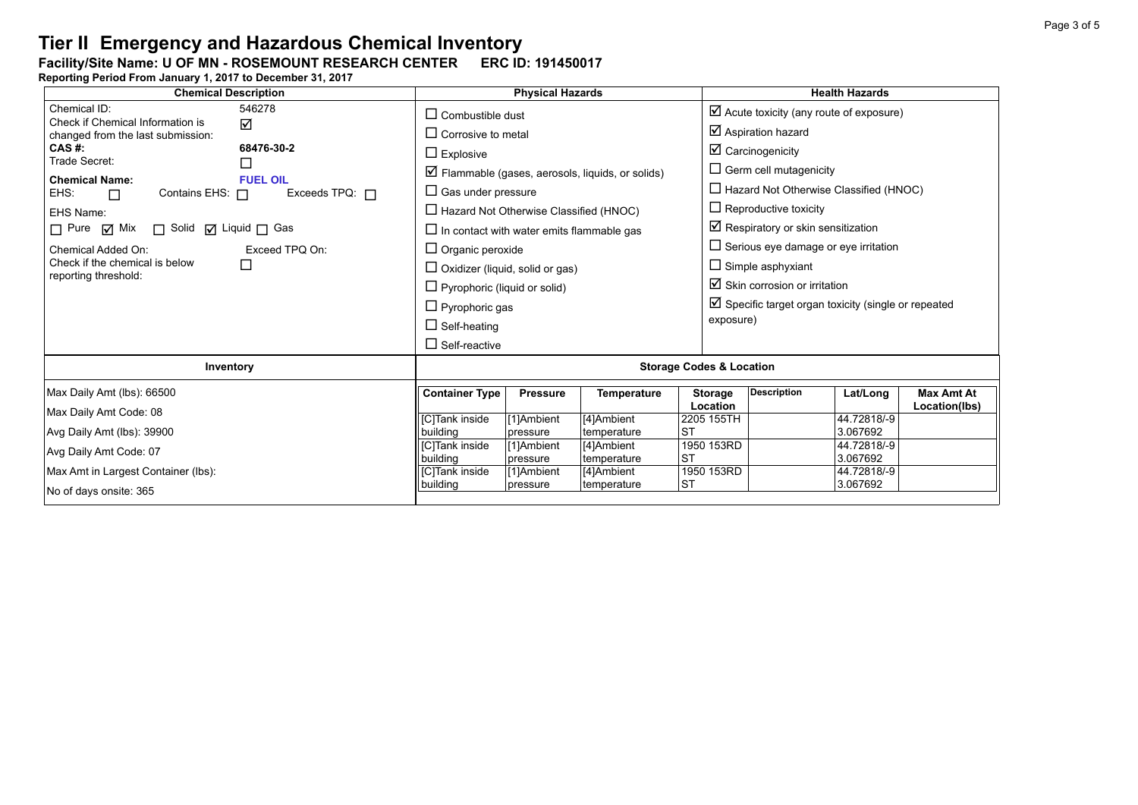### Facility/Site Name: U OF MN - ROSEMOUNT RESEARCH CENTER **------------------------**

| <b>Chemical Description</b>                                  | <b>Physical Hazards</b>                                                 |                                        |                        |                                                                  | <b>Health Hazards</b>                              |                                                                |                         |                               |  |  |
|--------------------------------------------------------------|-------------------------------------------------------------------------|----------------------------------------|------------------------|------------------------------------------------------------------|----------------------------------------------------|----------------------------------------------------------------|-------------------------|-------------------------------|--|--|
| Chemical ID:<br>546278<br>Check if Chemical Information is   | $\Box$ Combustible dust                                                 |                                        |                        |                                                                  | $\boxtimes$ Acute toxicity (any route of exposure) |                                                                |                         |                               |  |  |
| ☑<br>changed from the last submission:                       |                                                                         | $\Box$ Corrosive to metal              |                        |                                                                  |                                                    | $\boxtimes$ Aspiration hazard                                  |                         |                               |  |  |
| CAS #:                                                       | 68476-30-2<br>$\Box$ Explosive<br>Trade Secret:<br>⊔<br><b>FUEL OIL</b> |                                        |                        |                                                                  |                                                    | $\boxtimes$ Carcinogenicity                                    |                         |                               |  |  |
| <b>Chemical Name:</b>                                        |                                                                         |                                        |                        | $\triangleright$ Flammable (gases, aerosols, liquids, or solids) |                                                    |                                                                |                         | $\Box$ Germ cell mutagenicity |  |  |
| EHS:<br>Contains EHS: $\Box$<br>$\Box$                       | $\Box$ Gas under pressure                                               |                                        |                        |                                                                  | $\Box$ Hazard Not Otherwise Classified (HNOC)      |                                                                |                         |                               |  |  |
| EHS Name:                                                    | $\Box$ Hazard Not Otherwise Classified (HNOC)                           |                                        |                        |                                                                  | $\Box$ Reproductive toxicity                       |                                                                |                         |                               |  |  |
| $\Box$ Pure $\Box$ Mix $\Box$ Solid $\Box$ Liquid $\Box$ Gas | $\Box$ In contact with water emits flammable gas                        |                                        |                        |                                                                  | $\boxtimes$ Respiratory or skin sensitization      |                                                                |                         |                               |  |  |
| Chemical Added On:                                           | Exceed TPQ On:<br>$\Box$                                                | $\Box$ Organic peroxide                |                        |                                                                  |                                                    | $\Box$ Serious eye damage or eye irritation                    |                         |                               |  |  |
| Check if the chemical is below<br>reporting threshold:       |                                                                         | $\Box$ Oxidizer (liquid, solid or gas) |                        |                                                                  |                                                    | $\Box$ Simple asphyxiant                                       |                         |                               |  |  |
|                                                              |                                                                         | $\Box$ Pyrophoric (liquid or solid)    |                        |                                                                  |                                                    | $\boxtimes$ Skin corrosion or irritation                       |                         |                               |  |  |
|                                                              |                                                                         | $\Box$ Pyrophoric gas                  |                        |                                                                  |                                                    | $\boxtimes$ Specific target organ toxicity (single or repeated |                         |                               |  |  |
|                                                              |                                                                         | $\Box$ Self-heating                    |                        |                                                                  |                                                    | exposure)                                                      |                         |                               |  |  |
|                                                              |                                                                         | $\Box$ Self-reactive                   |                        |                                                                  |                                                    |                                                                |                         |                               |  |  |
| Inventory                                                    | <b>Storage Codes &amp; Location</b>                                     |                                        |                        |                                                                  |                                                    |                                                                |                         |                               |  |  |
| Max Daily Amt (lbs): 66500                                   |                                                                         | <b>Container Type</b>                  | <b>Pressure</b>        | <b>Temperature</b>                                               | <b>Storage</b>                                     | <b>Description</b>                                             | Lat/Long                | <b>Max Amt At</b>             |  |  |
| Max Daily Amt Code: 08                                       |                                                                         |                                        |                        |                                                                  | Location                                           |                                                                |                         | Location(lbs)                 |  |  |
| Avg Daily Amt (lbs): 39900                                   |                                                                         | <b>[C]Tank</b> inside<br>building      | [1]Ambient<br>pressure | [4]Ambient<br>temperature                                        | 2205 155TH<br><b>ST</b>                            |                                                                | 44.72818/-9<br>3.067692 |                               |  |  |
|                                                              |                                                                         | <b>ICITank inside</b>                  | [1]Ambient             | [4]Ambient                                                       | 1950 153RD                                         |                                                                | 44.72818/-9             |                               |  |  |
| Avg Daily Amt Code: 07                                       | building                                                                | pressure                               | temperature            | <b>ST</b>                                                        |                                                    | 3.067692                                                       |                         |                               |  |  |
| Max Amt in Largest Container (lbs):                          | [C]Tank inside                                                          | [1]Ambient                             | [4]Ambient             | 1950 153RD                                                       |                                                    | 44.72818/-9                                                    |                         |                               |  |  |
| No of days onsite: 365                                       | building                                                                | pressure                               | temperature            | <b>ST</b>                                                        |                                                    | 3.067692                                                       |                         |                               |  |  |
|                                                              |                                                                         |                                        |                        |                                                                  |                                                    |                                                                |                         |                               |  |  |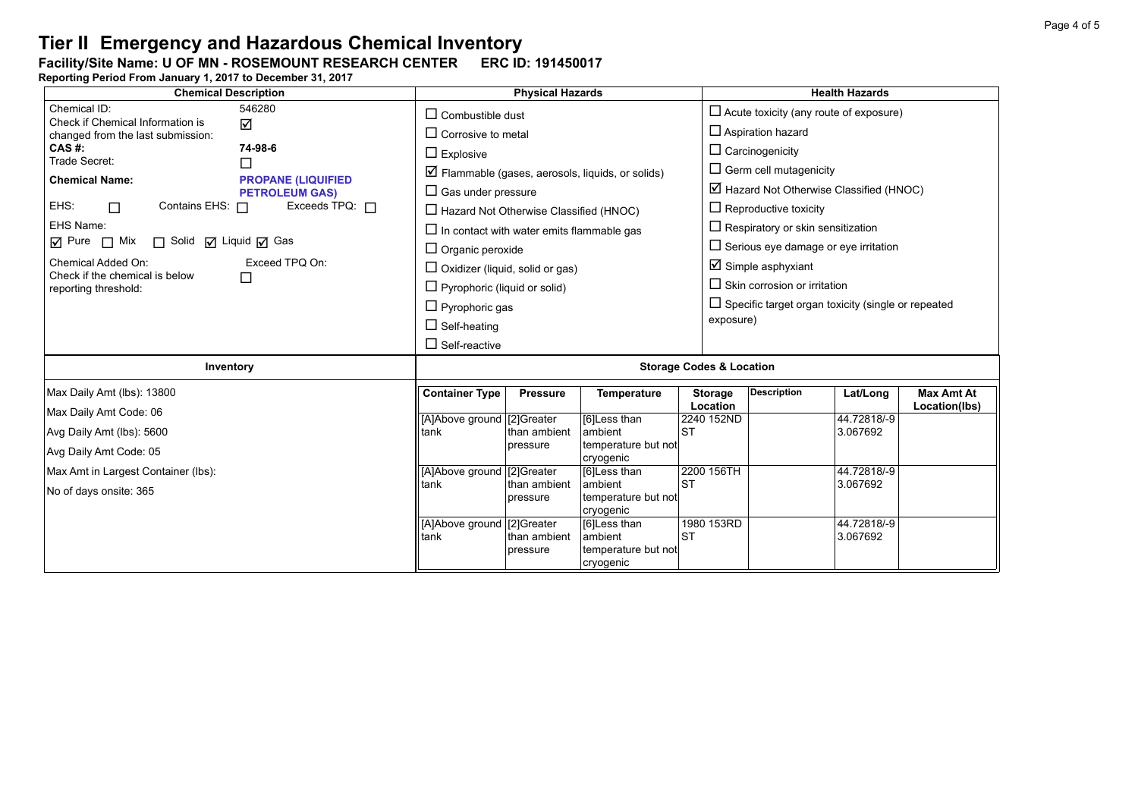#### Facility/Site Name: U OF MN - ROSEMOUNT RESEARCH CENTER **------------------------**

| <b>Chemical Description</b>                                                          | <b>Physical Hazards</b>                       |                                                  |                                                                  |                         | <b>Health Hazards</b>                                     |                                          |                   |  |  |
|--------------------------------------------------------------------------------------|-----------------------------------------------|--------------------------------------------------|------------------------------------------------------------------|-------------------------|-----------------------------------------------------------|------------------------------------------|-------------------|--|--|
| Chemical ID:<br>546280<br>Check if Chemical Information is                           | $\Box$ Combustible dust                       |                                                  |                                                                  |                         | $\Box$ Acute toxicity (any route of exposure)             |                                          |                   |  |  |
| ☑<br>changed from the last submission:                                               | $\Box$ Corrosive to metal                     |                                                  |                                                                  |                         | $\Box$ Aspiration hazard                                  |                                          |                   |  |  |
| CAS#:<br>74-98-6<br>Trade Secret:                                                    | $\Box$ Explosive                              |                                                  |                                                                  |                         | $\Box$ Carcinogenicity                                    |                                          |                   |  |  |
| □<br><b>Chemical Name:</b><br><b>PROPANE (LIQUIFIED)</b>                             |                                               |                                                  | $\triangleright$ Flammable (gases, aerosols, liquids, or solids) |                         | $\Box$ Germ cell mutagenicity                             |                                          |                   |  |  |
| <b>PETROLEUM GAS)</b>                                                                | $\Box$ Gas under pressure                     |                                                  |                                                                  |                         | $\boxtimes$ Hazard Not Otherwise Classified (HNOC)        |                                          |                   |  |  |
| EHS:<br>Contains EHS: 0<br>Exceeds TPQ: $\Box$<br>$\Box$                             | $\Box$ Hazard Not Otherwise Classified (HNOC) |                                                  |                                                                  |                         | $\Box$ Reproductive toxicity                              |                                          |                   |  |  |
| EHS Name:                                                                            |                                               | $\Box$ In contact with water emits flammable gas |                                                                  |                         |                                                           | $\Box$ Respiratory or skin sensitization |                   |  |  |
| $\overline{M}$ Pure $\Box$ Mix $\Box$ Solid $\overline{M}$ Liquid $\overline{M}$ Gas | $\Box$ Organic peroxide                       |                                                  |                                                                  |                         | $\Box$ Serious eye damage or eye irritation               |                                          |                   |  |  |
| Exceed TPQ On:<br>Chemical Added On:<br>Check if the chemical is below<br>□          | $\Box$ Oxidizer (liquid, solid or gas)        |                                                  |                                                                  |                         | $\boxtimes$ Simple asphyxiant                             |                                          |                   |  |  |
| reporting threshold:                                                                 | $\Box$ Pyrophoric (liquid or solid)           |                                                  |                                                                  |                         | $\Box$ Skin corrosion or irritation                       |                                          |                   |  |  |
|                                                                                      | $\Box$ Pyrophoric gas                         |                                                  |                                                                  |                         | $\Box$ Specific target organ toxicity (single or repeated |                                          |                   |  |  |
|                                                                                      | $\Box$ Self-heating                           |                                                  |                                                                  | exposure)               |                                                           |                                          |                   |  |  |
|                                                                                      | $\Box$ Self-reactive                          |                                                  |                                                                  |                         |                                                           |                                          |                   |  |  |
| Inventory                                                                            | <b>Storage Codes &amp; Location</b>           |                                                  |                                                                  |                         |                                                           |                                          |                   |  |  |
| Max Daily Amt (lbs): 13800                                                           | <b>Container Type</b>                         | <b>Pressure</b>                                  | <b>Temperature</b>                                               | <b>Storage</b>          | <b>Description</b>                                        | Lat/Long                                 | <b>Max Amt At</b> |  |  |
| Max Daily Amt Code: 06                                                               | [A]Above ground [2]Greater                    |                                                  | [6]Less than                                                     | Location<br>2240 152ND  |                                                           | 44.72818/-9                              | Location(lbs)     |  |  |
| Avg Daily Amt (lbs): 5600                                                            | tank                                          | than ambient                                     | ambient                                                          | <b>ST</b>               |                                                           | 3.067692                                 |                   |  |  |
| Avg Daily Amt Code: 05                                                               |                                               | pressure                                         | temperature but not<br>cryogenic                                 |                         |                                                           |                                          |                   |  |  |
| Max Amt in Largest Container (lbs):                                                  | [A]Above ground [2]Greater                    |                                                  | [6]Less than                                                     | 2200 156TH              |                                                           | 44.72818/-9                              |                   |  |  |
| No of days onsite: 365                                                               | tank                                          | than ambient<br>pressure                         | ambient<br>temperature but not<br>cryogenic                      | <b>ST</b>               |                                                           | 3.067692                                 |                   |  |  |
|                                                                                      | [A]Above ground [2]Greater<br>tank            | than ambient<br>pressure                         | [6]Less than<br>ambient<br>temperature but not<br>cryogenic      | 1980 153RD<br><b>ST</b> |                                                           | 44.72818/-9<br>3.067692                  |                   |  |  |